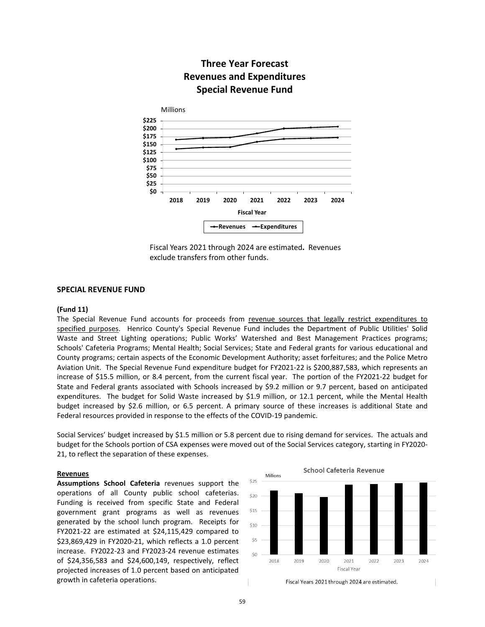# **Three Year Forecast Revenues and Expenditures Special Revenue Fund**



Fiscal Years 2021 through 2024 are estimated**.** Revenues exclude transfers from other funds.

## **SPECIAL REVENUE FUND**

## **(Fund 11)**

The Special Revenue Fund accounts for proceeds from revenue sources that legally restrict expenditures to specified purposes. Henrico County's Special Revenue Fund includes the Department of Public Utilities' Solid Waste and Street Lighting operations; Public Works' Watershed and Best Management Practices programs; Schools' Cafeteria Programs; Mental Health; Social Services; State and Federal grants for various educational and County programs; certain aspects of the Economic Development Authority; asset forfeitures; and the Police Metro Aviation Unit. The Special Revenue Fund expenditure budget for FY2021-22 is \$200,887,583, which represents an increase of \$15.5 million, or 8.4 percent, from the current fiscal year. The portion of the FY2021-22 budget for State and Federal grants associated with Schools increased by \$9.2 million or 9.7 percent, based on anticipated expenditures. The budget for Solid Waste increased by \$1.9 million, or 12.1 percent, while the Mental Health budget increased by \$2.6 million, or 6.5 percent. A primary source of these increases is additional State and Federal resources provided in response to the effects of the COVID-19 pandemic.

Social Services' budget increased by \$1.5 million or 5.8 percent due to rising demand for services. The actuals and budget for the Schools portion of CSA expenses were moved out of the Social Services category, starting in FY2020- 21, to reflect the separation of these expenses.

#### **Revenues**

**Assumptions School Cafeteria** revenues support the operations of all County public school cafeterias. Funding is received from specific State and Federal government grant programs as well as revenues generated by the school lunch program. Receipts for FY2021-22 are estimated at \$24,115,429 compared to \$23,869,429 in FY2020-21, which reflects a 1.0 percent increase. FY2022-23 and FY2023-24 revenue estimates of \$24,356,583 and \$24,600,149, respectively, reflect projected increases of 1.0 percent based on anticipated growth in cafeteria operations.



**School Cafeteria Revenue** 

Fiscal Years 2021 through 2024 are estimated.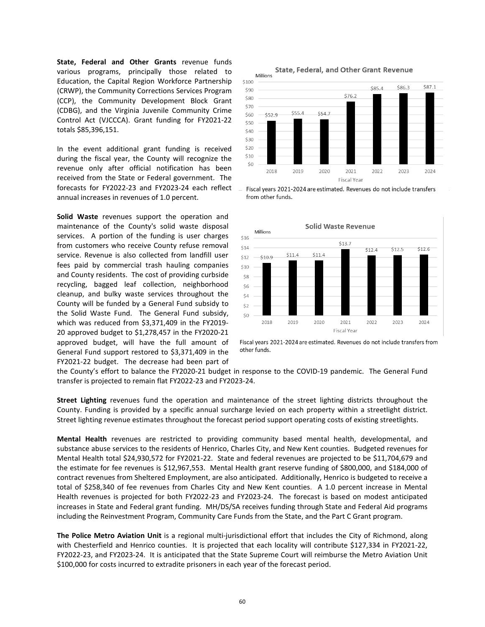**State, Federal and Other Grants** revenue funds various programs, principally those related to Education, the Capital Region Workforce Partnership (CRWP), the Community Corrections Services Program (CCP), the Community Development Block Grant (CDBG), and the Virginia Juvenile Community Crime Control Act (VJCCCA). Grant funding for FY2021-22 totals \$85,396,151.

In the event additional grant funding is received during the fiscal year, the County will recognize the revenue only after official notification has been received from the State or Federal government. The forecasts for FY2022-23 and FY2023-24 each reflect annual increases in revenues of 1.0 percent.

**Solid Waste** revenues support the operation and maintenance of the County's solid waste disposal services. A portion of the funding is user charges from customers who receive County refuse removal service. Revenue is also collected from landfill user fees paid by commercial trash hauling companies and County residents. The cost of providing curbside recycling, bagged leaf collection, neighborhood cleanup, and bulky waste services throughout the County will be funded by a General Fund subsidy to the Solid Waste Fund. The General Fund subsidy, which was reduced from \$3,371,409 in the FY2019- 20 approved budget to \$1,278,457 in the FY2020-21 approved budget, will have the full amount of General Fund support restored to \$3,371,409 in the FY2021-22 budget. The decrease had been part of







Fiscal years 2021-2024 are estimated. Revenues do not include transfers from other funds.

the County's effort to balance the FY2020-21 budget in response to the COVID-19 pandemic. The General Fund transfer is projected to remain flat FY2022-23 and FY2023-24.

**Street Lighting** revenues fund the operation and maintenance of the street lighting districts throughout the County. Funding is provided by a specific annual surcharge levied on each property within a streetlight district. Street lighting revenue estimates throughout the forecast period support operating costs of existing streetlights.

**Mental Health** revenues are restricted to providing community based mental health, developmental, and substance abuse services to the residents of Henrico, Charles City, and New Kent counties. Budgeted revenues for Mental Health total \$24,930,572 for FY2021-22. State and federal revenues are projected to be \$11,704,679 and the estimate for fee revenues is \$12,967,553. Mental Health grant reserve funding of \$800,000, and \$184,000 of contract revenues from Sheltered Employment, are also anticipated. Additionally, Henrico is budgeted to receive a total of \$258,340 of fee revenues from Charles City and New Kent counties. A 1.0 percent increase in Mental Health revenues is projected for both FY2022-23 and FY2023-24. The forecast is based on modest anticipated increases in State and Federal grant funding. MH/DS/SA receives funding through State and Federal Aid programs including the Reinvestment Program, Community Care Funds from the State, and the Part C Grant program.

**The Police Metro Aviation Unit** is a regional multi-jurisdictional effort that includes the City of Richmond, along with Chesterfield and Henrico counties. It is projected that each locality will contribute \$127,334 in FY2021-22, FY2022-23, and FY2023-24. It is anticipated that the State Supreme Court will reimburse the Metro Aviation Unit \$100,000 for costs incurred to extradite prisoners in each year of the forecast period.

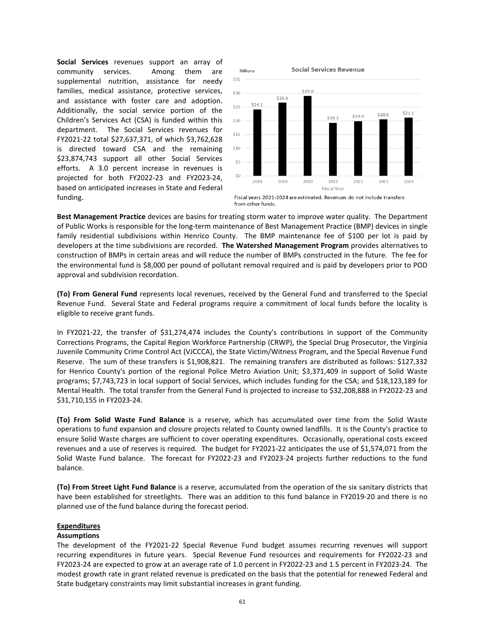**Social Services** revenues support an array of community services. Among them are supplemental nutrition, assistance for needy families, medical assistance, protective services, and assistance with foster care and adoption. Additionally, the social service portion of the Children's Services Act (CSA) is funded within this department. The Social Services revenues for FY2021-22 total \$27,637,371, of which \$3,762,628 is directed toward CSA and the remaining \$23,874,743 support all other Social Services efforts. A 3.0 percent increase in revenues is projected for both FY2022-23 and FY2023-24, based on anticipated increases in State and Federal funding.



**Best Management Practice** devices are basins for treating storm water to improve water quality. The Department of Public Works is responsible for the long-term maintenance of Best Management Practice (BMP) devices in single family residential subdivisions within Henrico County. The BMP maintenance fee of \$100 per lot is paid by developers at the time subdivisions are recorded. **The Watershed Management Program** provides alternatives to construction of BMPs in certain areas and will reduce the number of BMPs constructed in the future. The fee for the environmental fund is \$8,000 per pound of pollutant removal required and is paid by developers prior to POD approval and subdivision recordation.

**(To) From General Fund** represents local revenues, received by the General Fund and transferred to the Special Revenue Fund. Several State and Federal programs require a commitment of local funds before the locality is eligible to receive grant funds.

In FY2021-22, the transfer of \$31,274,474 includes the County's contributions in support of the Community Corrections Programs, the Capital Region Workforce Partnership (CRWP), the Special Drug Prosecutor, the Virginia Juvenile Community Crime Control Act (VJCCCA), the State Victim/Witness Program, and the Special Revenue Fund Reserve. The sum of these transfers is \$1,908,821. The remaining transfers are distributed as follows: \$127,332 for Henrico County's portion of the regional Police Metro Aviation Unit; \$3,371,409 in support of Solid Waste programs; \$7,743,723 in local support of Social Services, which includes funding for the CSA; and \$18,123,189 for Mental Health. The total transfer from the General Fund is projected to increase to \$32,208,888 in FY2022-23 and \$31,710,155 in FY2023-24.

**(To) From Solid Waste Fund Balance** is a reserve, which has accumulated over time from the Solid Waste operations to fund expansion and closure projects related to County owned landfills. It is the County's practice to ensure Solid Waste charges are sufficient to cover operating expenditures. Occasionally, operational costs exceed revenues and a use of reserves is required. The budget for FY2021-22 anticipates the use of \$1,574,071 from the Solid Waste Fund balance. The forecast for FY2022-23 and FY2023-24 projects further reductions to the fund balance.

**(To) From Street Light Fund Balance** is a reserve, accumulated from the operation of the six sanitary districts that have been established for streetlights. There was an addition to this fund balance in FY2019-20 and there is no planned use of the fund balance during the forecast period.

## **Expenditures**

### **Assumptions**

The development of the FY2021-22 Special Revenue Fund budget assumes recurring revenues will support recurring expenditures in future years. Special Revenue Fund resources and requirements for FY2022-23 and FY2023-24 are expected to grow at an average rate of 1.0 percent in FY2022-23 and 1.5 percent in FY2023-24. The modest growth rate in grant related revenue is predicated on the basis that the potential for renewed Federal and State budgetary constraints may limit substantial increases in grant funding.